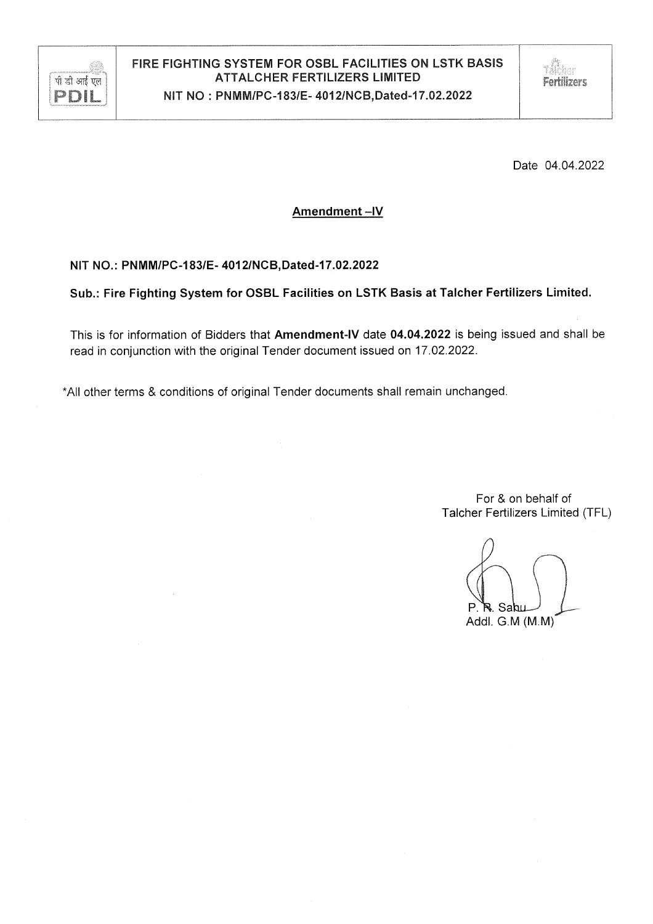

Date 04.04.2022

# Amendment-IV

# NIT NO.: PNMM/PC-183/E- 4012/NCB, Dated-17.02.2022

Sub.: Fire Fighting System for OSBL Facilities on LSTK Basis at Talcher Fertilizers Limited.

This is for information of Bidders that Amendment-IV date 04.04.2022 is being issued and shall be read in conjunction with the original Tender document issued on 17.02.2022.

\*All other terms & conditions of original Tender documents shall remain unchanged.

For & on behalf of Talcher Fertilizers Limited (TFL)

Addl. G.M (M.M)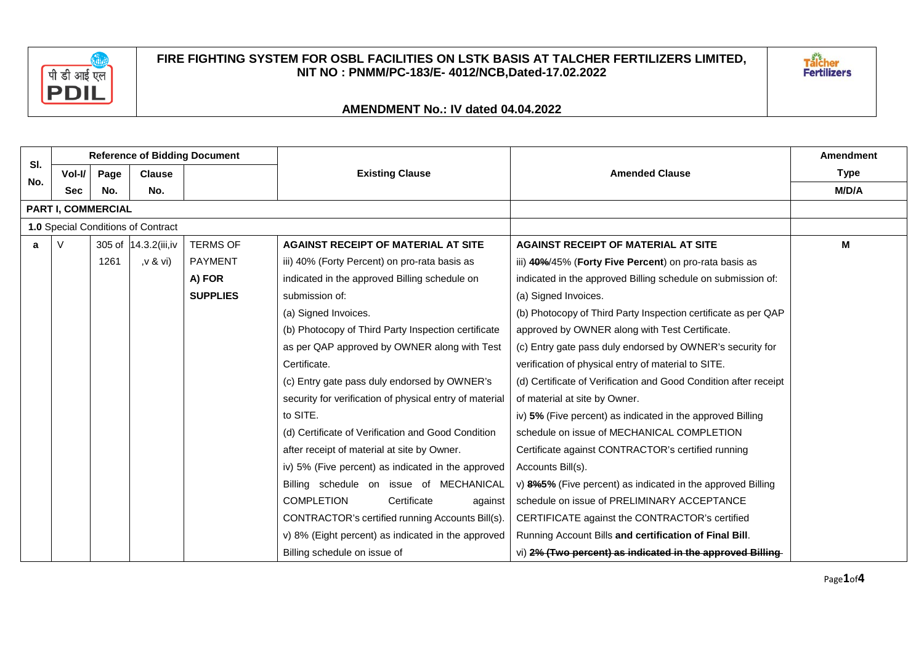

Talcher<br>Fertilizers

|            | <b>Reference of Bidding Document</b> |      |                       |                 |                                                         |                                                                  | <b>Amendment</b> |  |
|------------|--------------------------------------|------|-----------------------|-----------------|---------------------------------------------------------|------------------------------------------------------------------|------------------|--|
| SI.<br>No. | Vol-I/                               | Page | <b>Clause</b>         |                 | <b>Existing Clause</b>                                  | <b>Amended Clause</b>                                            | <b>Type</b>      |  |
|            | <b>Sec</b>                           | No.  | No.                   |                 |                                                         |                                                                  | M/D/A            |  |
|            | PART I, COMMERCIAL                   |      |                       |                 |                                                         |                                                                  |                  |  |
|            | 1.0 Special Conditions of Contract   |      |                       |                 |                                                         |                                                                  |                  |  |
| a          | V                                    |      | 305 of 14.3.2(iii, iv | <b>TERMS OF</b> | <b>AGAINST RECEIPT OF MATERIAL AT SITE</b>              | <b>AGAINST RECEIPT OF MATERIAL AT SITE</b>                       | M                |  |
|            |                                      | 1261 | ,v & vi)              | <b>PAYMENT</b>  | iii) 40% (Forty Percent) on pro-rata basis as           | iii) 40%/45% (Forty Five Percent) on pro-rata basis as           |                  |  |
|            |                                      |      |                       | A) FOR          | indicated in the approved Billing schedule on           | indicated in the approved Billing schedule on submission of:     |                  |  |
|            |                                      |      |                       | <b>SUPPLIES</b> | submission of:                                          | (a) Signed Invoices.                                             |                  |  |
|            |                                      |      |                       |                 | (a) Signed Invoices.                                    | (b) Photocopy of Third Party Inspection certificate as per QAP   |                  |  |
|            |                                      |      |                       |                 | (b) Photocopy of Third Party Inspection certificate     | approved by OWNER along with Test Certificate.                   |                  |  |
|            |                                      |      |                       |                 | as per QAP approved by OWNER along with Test            | (c) Entry gate pass duly endorsed by OWNER's security for        |                  |  |
|            |                                      |      |                       |                 | Certificate.                                            | verification of physical entry of material to SITE.              |                  |  |
|            |                                      |      |                       |                 | (c) Entry gate pass duly endorsed by OWNER's            | (d) Certificate of Verification and Good Condition after receipt |                  |  |
|            |                                      |      |                       |                 | security for verification of physical entry of material | of material at site by Owner.                                    |                  |  |
|            |                                      |      |                       |                 | to SITE.                                                | iv) 5% (Five percent) as indicated in the approved Billing       |                  |  |
|            |                                      |      |                       |                 | (d) Certificate of Verification and Good Condition      | schedule on issue of MECHANICAL COMPLETION                       |                  |  |
|            |                                      |      |                       |                 | after receipt of material at site by Owner.             | Certificate against CONTRACTOR's certified running               |                  |  |
|            |                                      |      |                       |                 | iv) 5% (Five percent) as indicated in the approved      | Accounts Bill(s).                                                |                  |  |
|            |                                      |      |                       |                 | Billing schedule on issue of MECHANICAL                 | v) 8%5% (Five percent) as indicated in the approved Billing      |                  |  |
|            |                                      |      |                       |                 | <b>COMPLETION</b><br>Certificate<br>against             | schedule on issue of PRELIMINARY ACCEPTANCE                      |                  |  |
|            |                                      |      |                       |                 | CONTRACTOR's certified running Accounts Bill(s).        | CERTIFICATE against the CONTRACTOR's certified                   |                  |  |
|            |                                      |      |                       |                 | v) 8% (Eight percent) as indicated in the approved      | Running Account Bills and certification of Final Bill.           |                  |  |
|            |                                      |      |                       |                 | Billing schedule on issue of                            | vi) 2% (Two percent) as indicated in the approved Billing-       |                  |  |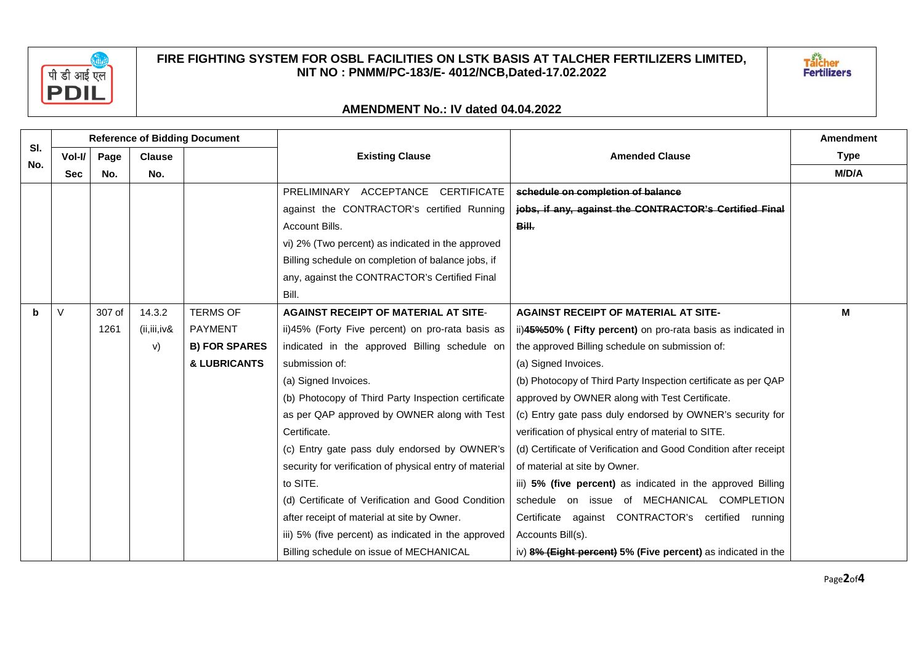

Talcher<br>Fertilizers

| SI. | <b>Reference of Bidding Document</b> |        |               |                      |                                                         |                                                                  | <b>Amendment</b> |
|-----|--------------------------------------|--------|---------------|----------------------|---------------------------------------------------------|------------------------------------------------------------------|------------------|
| No. | Vol-I/                               | Page   | <b>Clause</b> |                      | <b>Existing Clause</b>                                  | <b>Amended Clause</b>                                            | <b>Type</b>      |
|     | <b>Sec</b>                           | No.    | No.           |                      |                                                         |                                                                  | M/D/A            |
|     |                                      |        |               |                      | PRELIMINARY ACCEPTANCE CERTIFICATE                      | schedule on completion of balance                                |                  |
|     |                                      |        |               |                      | against the CONTRACTOR's certified Running              | jobs, if any, against the CONTRACTOR's Certified Final           |                  |
|     |                                      |        |               |                      | Account Bills.                                          | Bill.                                                            |                  |
|     |                                      |        |               |                      | vi) 2% (Two percent) as indicated in the approved       |                                                                  |                  |
|     |                                      |        |               |                      | Billing schedule on completion of balance jobs, if      |                                                                  |                  |
|     |                                      |        |               |                      | any, against the CONTRACTOR's Certified Final           |                                                                  |                  |
|     |                                      |        |               |                      | Bill.                                                   |                                                                  |                  |
| b   | V                                    | 307 of | 14.3.2        | <b>TERMS OF</b>      | <b>AGAINST RECEIPT OF MATERIAL AT SITE-</b>             | <b>AGAINST RECEIPT OF MATERIAL AT SITE-</b>                      | М                |
|     |                                      | 1261   | (ii, iii, iv& | <b>PAYMENT</b>       | ii)45% (Forty Five percent) on pro-rata basis as        | ii)45%50% (Fifty percent) on pro-rata basis as indicated in      |                  |
|     |                                      |        | V)            | <b>B) FOR SPARES</b> | indicated in the approved Billing schedule on           | the approved Billing schedule on submission of:                  |                  |
|     |                                      |        |               | & LUBRICANTS         | submission of:                                          | (a) Signed Invoices.                                             |                  |
|     |                                      |        |               |                      | (a) Signed Invoices.                                    | (b) Photocopy of Third Party Inspection certificate as per QAP   |                  |
|     |                                      |        |               |                      | (b) Photocopy of Third Party Inspection certificate     | approved by OWNER along with Test Certificate.                   |                  |
|     |                                      |        |               |                      | as per QAP approved by OWNER along with Test            | (c) Entry gate pass duly endorsed by OWNER's security for        |                  |
|     |                                      |        |               |                      | Certificate.                                            | verification of physical entry of material to SITE.              |                  |
|     |                                      |        |               |                      | (c) Entry gate pass duly endorsed by OWNER's            | (d) Certificate of Verification and Good Condition after receipt |                  |
|     |                                      |        |               |                      | security for verification of physical entry of material | of material at site by Owner.                                    |                  |
|     |                                      |        |               |                      | to SITE.                                                | iii) 5% (five percent) as indicated in the approved Billing      |                  |
|     |                                      |        |               |                      | (d) Certificate of Verification and Good Condition      | schedule on issue of MECHANICAL COMPLETION                       |                  |
|     |                                      |        |               |                      | after receipt of material at site by Owner.             | Certificate against CONTRACTOR's certified running               |                  |
|     |                                      |        |               |                      | iii) 5% (five percent) as indicated in the approved     | Accounts Bill(s).                                                |                  |
|     |                                      |        |               |                      | Billing schedule on issue of MECHANICAL                 | iv) $8\%$ (Eight percent) 5% (Five percent) as indicated in the  |                  |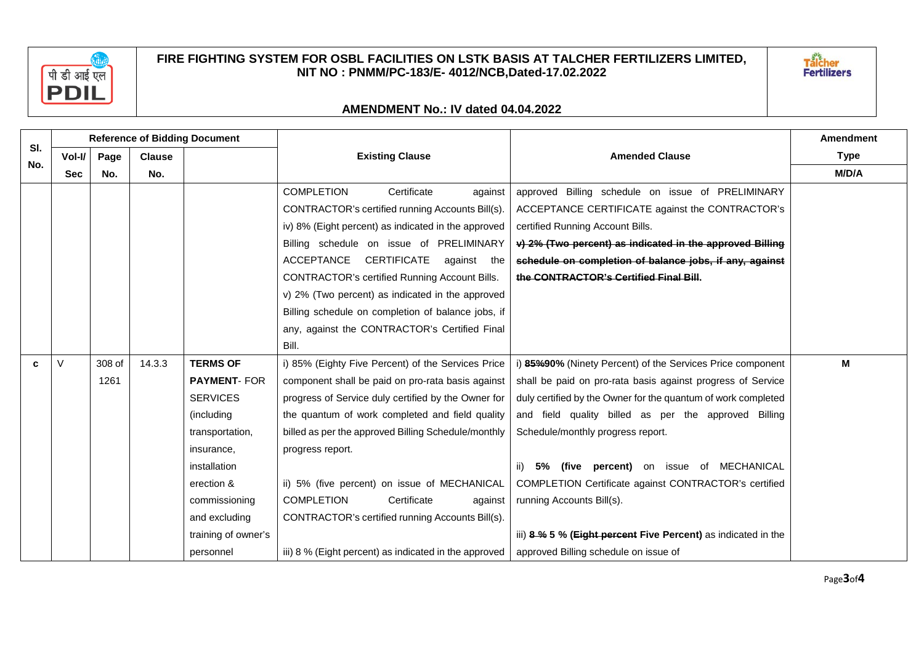



| SI. | <b>Reference of Bidding Document</b> |        |               |                     |                                                       |                                                               | <b>Amendment</b> |
|-----|--------------------------------------|--------|---------------|---------------------|-------------------------------------------------------|---------------------------------------------------------------|------------------|
| No. | Vol-I/                               | Page   | <b>Clause</b> |                     | <b>Existing Clause</b>                                | <b>Amended Clause</b>                                         | <b>Type</b>      |
|     | <b>Sec</b>                           | No.    | No.           |                     |                                                       |                                                               | M/D/A            |
|     |                                      |        |               |                     | <b>COMPLETION</b><br>Certificate<br>against           | approved Billing schedule on issue of PRELIMINARY             |                  |
|     |                                      |        |               |                     | CONTRACTOR's certified running Accounts Bill(s).      | ACCEPTANCE CERTIFICATE against the CONTRACTOR's               |                  |
|     |                                      |        |               |                     | iv) 8% (Eight percent) as indicated in the approved   | certified Running Account Bills.                              |                  |
|     |                                      |        |               |                     | Billing schedule on issue of PRELIMINARY              | v) 2% (Two percent) as indicated in the approved Billing      |                  |
|     |                                      |        |               |                     | ACCEPTANCE CERTIFICATE<br>against the                 | schedule on completion of balance jobs, if any, against       |                  |
|     |                                      |        |               |                     | <b>CONTRACTOR's certified Running Account Bills.</b>  | the CONTRACTOR's Certified Final Bill.                        |                  |
|     |                                      |        |               |                     | v) 2% (Two percent) as indicated in the approved      |                                                               |                  |
|     |                                      |        |               |                     | Billing schedule on completion of balance jobs, if    |                                                               |                  |
|     |                                      |        |               |                     | any, against the CONTRACTOR's Certified Final         |                                                               |                  |
|     |                                      |        |               |                     | Bill.                                                 |                                                               |                  |
| C.  | V                                    | 308 of | 14.3.3        | <b>TERMS OF</b>     | i) 85% (Eighty Five Percent) of the Services Price    | i) 85%90% (Ninety Percent) of the Services Price component    | М                |
|     |                                      | 1261   |               | <b>PAYMENT- FOR</b> | component shall be paid on pro-rata basis against     | shall be paid on pro-rata basis against progress of Service   |                  |
|     |                                      |        |               | <b>SERVICES</b>     | progress of Service duly certified by the Owner for   | duly certified by the Owner for the quantum of work completed |                  |
|     |                                      |        |               | (including          | the quantum of work completed and field quality       | and field quality billed as per the approved Billing          |                  |
|     |                                      |        |               | transportation,     | billed as per the approved Billing Schedule/monthly   | Schedule/monthly progress report.                             |                  |
|     |                                      |        |               | insurance,          | progress report.                                      |                                                               |                  |
|     |                                      |        |               | installation        |                                                       | ii) 5% (five percent) on issue of MECHANICAL                  |                  |
|     |                                      |        |               | erection &          | ii) 5% (five percent) on issue of MECHANICAL          | COMPLETION Certificate against CONTRACTOR's certified         |                  |
|     |                                      |        |               | commissioning       | <b>COMPLETION</b><br>Certificate<br>against           | running Accounts Bill(s).                                     |                  |
|     |                                      |        |               | and excluding       | CONTRACTOR's certified running Accounts Bill(s).      |                                                               |                  |
|     |                                      |        |               | training of owner's |                                                       | iii) 8 % 5 % (Eight percent Five Percent) as indicated in the |                  |
|     |                                      |        |               | personnel           | iii) 8 % (Eight percent) as indicated in the approved | approved Billing schedule on issue of                         |                  |